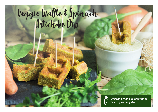# Veggie Waffle & Spinach



*One full serving of vegetables in 100 g serving size*